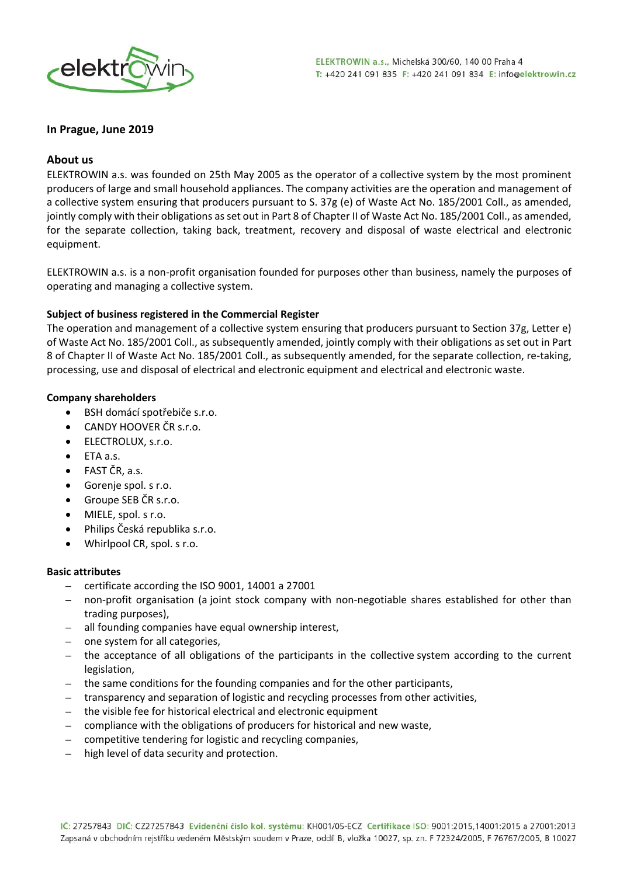

### **In Prague, June 2019**

### **About us**

ELEKTROWIN a.s. was founded on 25th May 2005 as the operator of a collective system by the most prominent producers of large and small household appliances. The company activities are the operation and management of a collective system ensuring that producers pursuant to S. 37g (e) of Waste Act No. 185/2001 Coll., as amended, jointly comply with their obligations as set out in Part 8 of Chapter II of Waste Act No. 185/2001 Coll., as amended, for the separate collection, taking back, treatment, recovery and disposal of waste electrical and electronic equipment.

ELEKTROWIN a.s. is a non‐profit organisation founded for purposes other than business, namely the purposes of operating and managing a collective system.

### **Subject of business registered in the Commercial Register**

The operation and management of a collective system ensuring that producers pursuant to Section 37g, Letter e) of Waste Act No. 185/2001 Coll., as subsequently amended, jointly comply with their obligations as set out in Part 8 of Chapter II of Waste Act No. 185/2001 Coll., as subsequently amended, for the separate collection, re-taking, processing, use and disposal of electrical and electronic equipment and electrical and electronic waste.

### **Company shareholders**

- BSH domácí spotřebiče s.r.o.
- **CANDY HOOVER ČR s.r.o.**
- **•** ELECTROLUX, s.r.o.
- ETA a.s.
- FAST ČR, a.s.
- Gorenje spol. s r.o.
- Groupe SEB ČR s.r.o.
- MIELE, spol. s r.o.
- Philips Česká republika s.r.o.
- Whirlpool CR, spol. s r.o.

#### **Basic attributes**

- certificate according the ISO 9001, 14001 a 27001
- non‐profit organisation (a joint stock company with non‐negotiable shares established for other than trading purposes),
- all founding companies have equal ownership interest,
- one system for all categories,
- the acceptance of all obligations of the participants in the collective system according to the current legislation,
- the same conditions for the founding companies and for the other participants,
- transparency and separation of logistic and recycling processes from other activities,
- the visible fee for historical electrical and electronic equipment
- compliance with the obligations of producers for historical and new waste,
- competitive tendering for logistic and recycling companies,
- high level of data security and protection.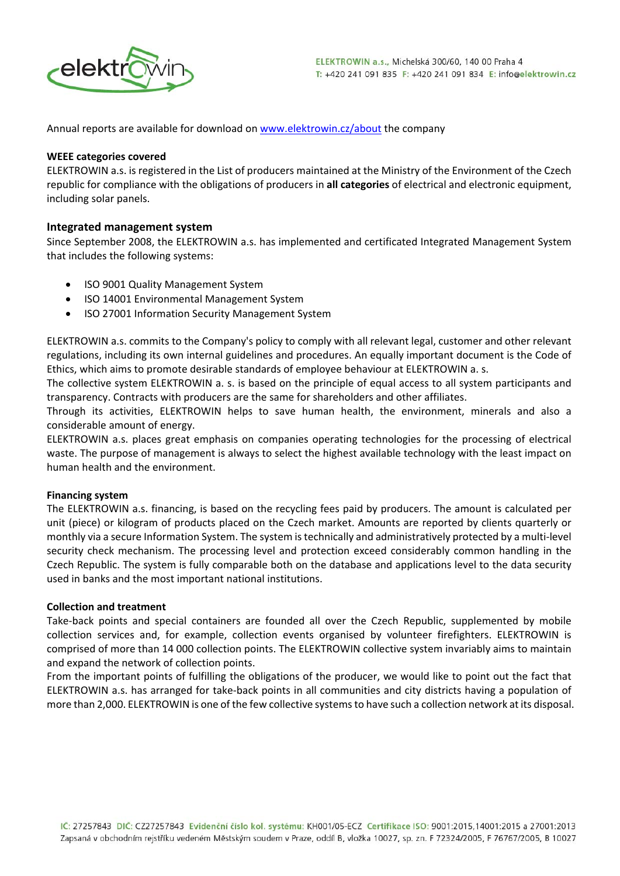

Annual reports are available for download on www.elektrowin.cz/about the company

#### **WEEE categories covered**

ELEKTROWIN a.s. is registered in the List of producers maintained at the Ministry of the Environment of the Czech republic for compliance with the obligations of producers in **all categories** of electrical and electronic equipment, including solar panels.

## **Integrated management system**

Since September 2008, the ELEKTROWIN a.s. has implemented and certificated Integrated Management System that includes the following systems:

- ISO 9001 Quality Management System
- ISO 14001 Environmental Management System
- ISO 27001 Information Security Management System

ELEKTROWIN a.s. commits to the Company's policy to comply with all relevant legal, customer and other relevant regulations, including its own internal guidelines and procedures. An equally important document is the Code of Ethics, which aims to promote desirable standards of employee behaviour at ELEKTROWIN a. s.

The collective system ELEKTROWIN a. s. is based on the principle of equal access to all system participants and transparency. Contracts with producers are the same for shareholders and other affiliates.

Through its activities, ELEKTROWIN helps to save human health, the environment, minerals and also a considerable amount of energy.

ELEKTROWIN a.s. places great emphasis on companies operating technologies for the processing of electrical waste. The purpose of management is always to select the highest available technology with the least impact on human health and the environment.

## **Financing system**

The ELEKTROWIN a.s. financing, is based on the recycling fees paid by producers. The amount is calculated per unit (piece) or kilogram of products placed on the Czech market. Amounts are reported by clients quarterly or monthly via a secure Information System. The system is technically and administratively protected by a multi-level security check mechanism. The processing level and protection exceed considerably common handling in the Czech Republic. The system is fully comparable both on the database and applications level to the data security used in banks and the most important national institutions.

#### **Collection and treatment**

Take-back points and special containers are founded all over the Czech Republic, supplemented by mobile collection services and, for example, collection events organised by volunteer firefighters. ELEKTROWIN is comprised of more than 14 000 collection points. The ELEKTROWIN collective system invariably aims to maintain and expand the network of collection points.

From the important points of fulfilling the obligations of the producer, we would like to point out the fact that ELEKTROWIN a.s. has arranged for take‐back points in all communities and city districts having a population of more than 2,000. ELEKTROWIN is one of the few collective systemsto have such a collection network at its disposal.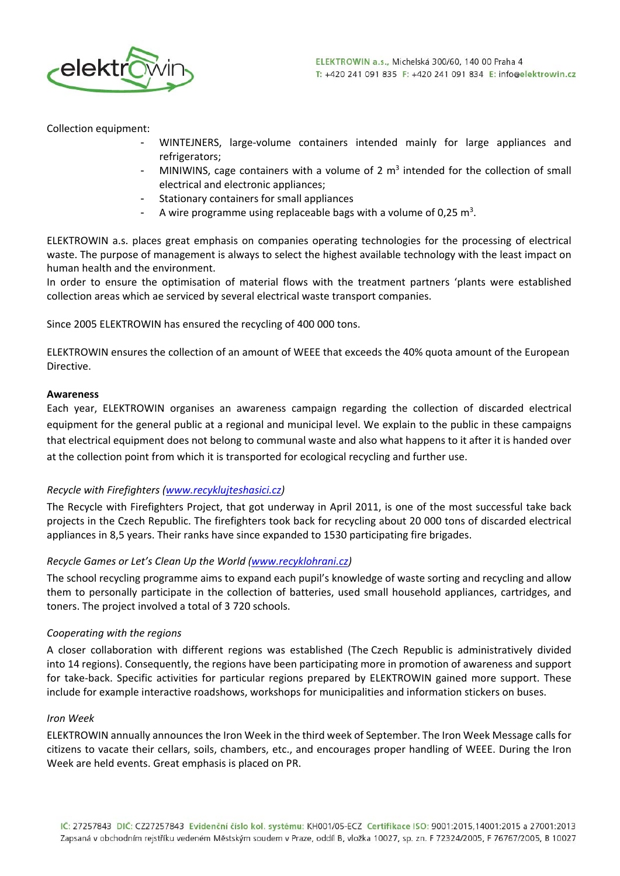

Collection equipment:

- WINTEJNERS, large‐volume containers intended mainly for large appliances and refrigerators;
- MINIWINS, cage containers with a volume of 2  $m<sup>3</sup>$  intended for the collection of small electrical and electronic appliances;
- Stationary containers for small appliances
- A wire programme using replaceable bags with a volume of 0,25  $m<sup>3</sup>$ .

ELEKTROWIN a.s. places great emphasis on companies operating technologies for the processing of electrical waste. The purpose of management is always to select the highest available technology with the least impact on human health and the environment.

In order to ensure the optimisation of material flows with the treatment partners 'plants were established collection areas which ae serviced by several electrical waste transport companies.

Since 2005 ELEKTROWIN has ensured the recycling of 400 000 tons.

ELEKTROWIN ensures the collection of an amount of WEEE that exceeds the 40% quota amount of the European Directive.

### **Awareness**

Each year, ELEKTROWIN organises an awareness campaign regarding the collection of discarded electrical equipment for the general public at a regional and municipal level. We explain to the public in these campaigns that electrical equipment does not belong to communal waste and also what happens to it after it is handed over at the collection point from which it is transported for ecological recycling and further use.

# *Recycle with Firefighters (www.recyklujteshasici.cz)*

The Recycle with Firefighters Project, that got underway in April 2011, is one of the most successful take back projects in the Czech Republic. The firefighters took back for recycling about 20 000 tons of discarded electrical appliances in 8,5 years. Their ranks have since expanded to 1530 participating fire brigades.

## *Recycle Games or Let's Clean Up the World (www.recyklohrani.cz)*

The school recycling programme aims to expand each pupil's knowledge of waste sorting and recycling and allow them to personally participate in the collection of batteries, used small household appliances, cartridges, and toners. The project involved a total of 3 720 schools.

## *Cooperating with the regions*

A closer collaboration with different regions was established (The Czech Republic is administratively divided into 14 regions). Consequently, the regions have been participating more in promotion of awareness and support for take-back. Specific activities for particular regions prepared by ELEKTROWIN gained more support. These include for example interactive roadshows, workshops for municipalities and information stickers on buses.

## *Iron Week*

ELEKTROWIN annually announces the Iron Week in the third week of September. The Iron Week Message calls for citizens to vacate their cellars, soils, chambers, etc., and encourages proper handling of WEEE. During the Iron Week are held events. Great emphasis is placed on PR.